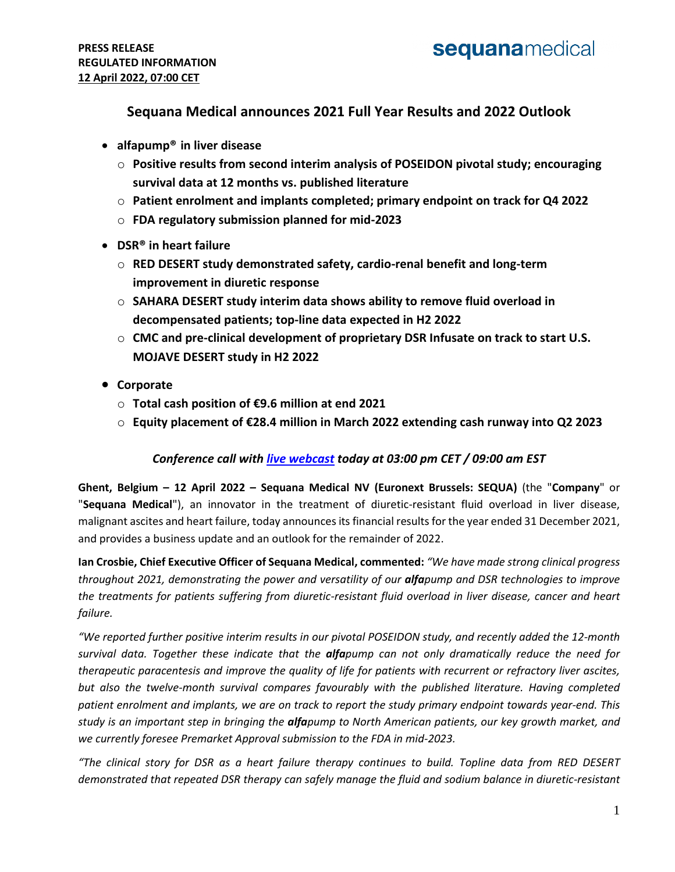### **Sequana Medical announces 2021 Full Year Results and 2022 Outlook**

- **alfapump® in liver disease**
	- o **Positive results from second interim analysis of POSEIDON pivotal study; encouraging survival data at 12 months vs. published literature**
	- o **Patient enrolment and implants completed; primary endpoint on track for Q4 2022**
	- o **FDA regulatory submission planned for mid-2023**
- **DSR® in heart failure**
	- o **RED DESERT study demonstrated safety, cardio-renal benefit and long-term improvement in diuretic response**
	- o **SAHARA DESERT study interim data shows ability to remove fluid overload in decompensated patients; top-line data expected in H2 2022**
	- o **CMC and pre-clinical development of proprietary DSR Infusate on track to start U.S. MOJAVE DESERT study in H2 2022**
- **Corporate**
	- o **Total cash position of €9.6 million at end 2021**
	- o **Equity placement of €28.4 million in March 2022 extending cash runway into Q2 2023**

#### *Conference call with [live webcast](https://channel.royalcast.com/sequanamedical/#!/sequanamedical/20220412_1) today at 03:00 pm CET / 09:00 am EST*

**Ghent, Belgium – 12 April 2022 – Sequana Medical NV (Euronext Brussels: SEQUA)** (the "**Company**" or "**Sequana Medical**"), an innovator in the treatment of diuretic-resistant fluid overload in liver disease, malignant ascites and heart failure, today announces its financial results for the year ended 31 December 2021, and provides a business update and an outlook for the remainder of 2022.

**Ian Crosbie, Chief Executive Officer of Sequana Medical, commented:** *"We have made strong clinical progress throughout 2021, demonstrating the power and versatility of our alfapump and DSR technologies to improve the treatments for patients suffering from diuretic-resistant fluid overload in liver disease, cancer and heart failure.*

*"We reported further positive interim results in our pivotal POSEIDON study, and recently added the 12-month survival data. Together these indicate that the alfapump can not only dramatically reduce the need for therapeutic paracentesis and improve the quality of life for patients with recurrent or refractory liver ascites, but also the twelve-month survival compares favourably with the published literature. Having completed patient enrolment and implants, we are on track to report the study primary endpoint towards year-end. This study is an important step in bringing the alfapump to North American patients, our key growth market, and we currently foresee Premarket Approval submission to the FDA in mid-2023.*

*"The clinical story for DSR as a heart failure therapy continues to build. Topline data from RED DESERT demonstrated that repeated DSR therapy can safely manage the fluid and sodium balance in diuretic-resistant*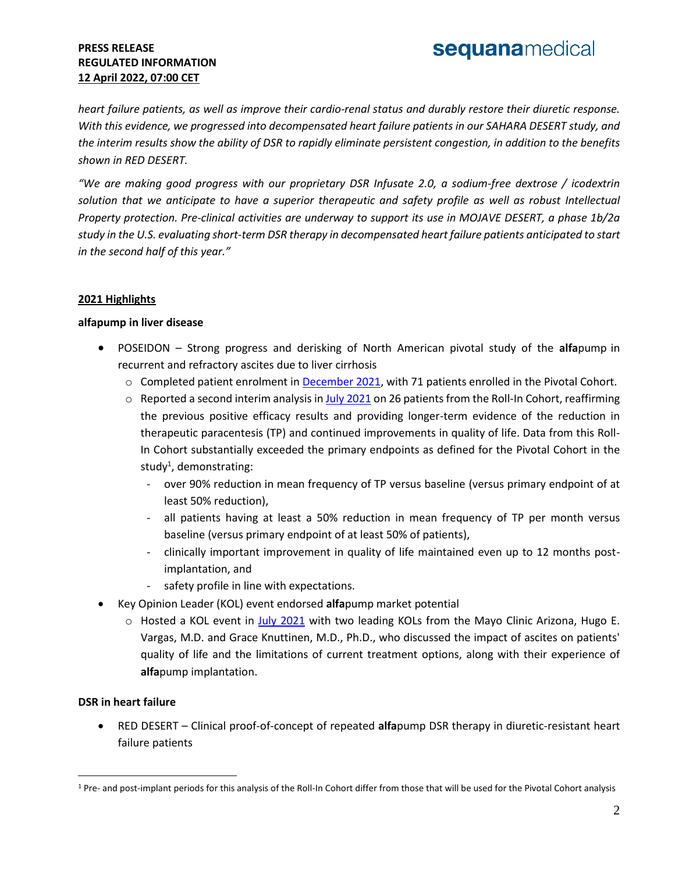*heart failure patients, as well as improve their cardio-renal status and durably restore their diuretic response. With this evidence, we progressed into decompensated heart failure patients in our SAHARA DESERT study, and the interim results show the ability of DSR to rapidly eliminate persistent congestion, in addition to the benefits shown in RED DESERT.*

*"We are making good progress with our proprietary DSR Infusate 2.0, a sodium-free dextrose / icodextrin solution that we anticipate to have a superior therapeutic and safety profile as well as robust Intellectual Property protection. Pre-clinical activities are underway to support its use in MOJAVE DESERT, a phase 1b/2a study in the U.S. evaluating short-term DSR therapy in decompensated heart failure patients anticipated to start in the second half of this year."*

#### **2021 Highlights**

#### **alfapump in liver disease**

- POSEIDON Strong progress and derisking of North American pivotal study of the **alfa**pump in recurrent and refractory ascites due to liver cirrhosis
	- o Completed patient enrolment in [December 2021,](https://www.sequanamedical.com/press-releases/sequana-medical-announces-the-completion-of-patient-enrolment-in-poseidon-the-north-american-pivotal-alfapump-study/) with 71 patients enrolled in the Pivotal Cohort.
	- o Reported a second interim analysis i[n July 2021](https://www.sequanamedical.com/press-releases/sequana-medical-announces-positive-results-from-second-interim-analysis-of-north-american-pivotal-alfapump-study-poseidon/) on 26 patients from the Roll-In Cohort, reaffirming the previous positive efficacy results and providing longer-term evidence of the reduction in therapeutic paracentesis (TP) and continued improvements in quality of life. Data from this Roll-In Cohort substantially exceeded the primary endpoints as defined for the Pivotal Cohort in the study<sup>1</sup>, demonstrating:
		- over 90% reduction in mean frequency of TP versus baseline (versus primary endpoint of at least 50% reduction),
		- all patients having at least a 50% reduction in mean frequency of TP per month versus baseline (versus primary endpoint of at least 50% of patients),
		- clinically important improvement in quality of life maintained even up to 12 months postimplantation, and
		- safety profile in line with expectations.
- Key Opinion Leader (KOL) event endorsed **alfa**pump market potential
	- o Hosted a KOL event in [July 2021](https://www.sequanamedical.com/press-releases/sequana-medical-to-host-a-key-opinion-leader-webinar-on-the-impact-of-liver-ascites-on-patients-and-healthcare-systems-and-the-potential-of-alfapump-therapy-in-nash-related-ascites/) with two leading KOLs from the Mayo Clinic Arizona, Hugo E. Vargas, M.D. and Grace Knuttinen, M.D., Ph.D., who discussed the impact of ascites on patients' quality of life and the limitations of current treatment options, along with their experience of **alfa**pump implantation.

#### **DSR in heart failure**

 $\overline{a}$ 

 RED DESERT – Clinical proof-of-concept of repeated **alfa**pump DSR therapy in diuretic-resistant heart failure patients

<sup>&</sup>lt;sup>1</sup> Pre- and post-implant periods for this analysis of the Roll-In Cohort differ from those that will be used for the Pivotal Cohort analysis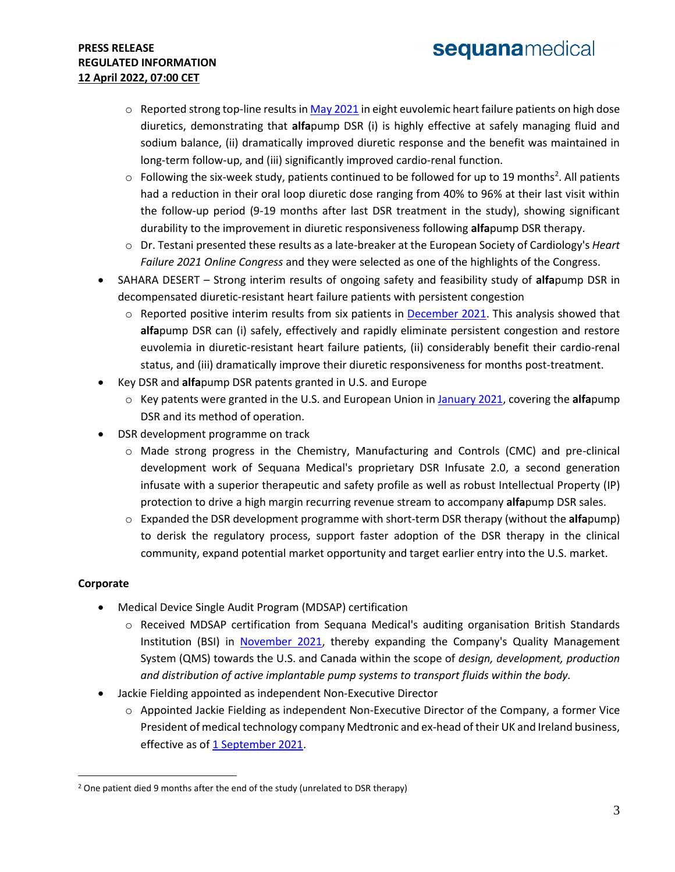# sequanamedical

#### **PRESS RELEASE REGULATED INFORMATION 12 April 2022, 07:00 CET**

- o Reported strong top-line results i[n May 2021](https://www.sequanamedical.com/press-releases/sequana-medical-announces-strong-top-line-results-from-red-desert-alfapump-dsr-study-and-expansion-of-dsr-development-programme/) in eight euvolemic heart failure patients on high dose diuretics, demonstrating that **alfa**pump DSR (i) is highly effective at safely managing fluid and sodium balance, (ii) dramatically improved diuretic response and the benefit was maintained in long-term follow-up, and (iii) significantly improved cardio-renal function.
- $\circ$  Following the six-week study, patients continued to be followed for up to 19 months<sup>2</sup>. All patients had a reduction in their oral loop diuretic dose ranging from 40% to 96% at their last visit within the follow-up period (9-19 months after last DSR treatment in the study), showing significant durability to the improvement in diuretic responsiveness following **alfa**pump DSR therapy.
- o Dr. Testani presented these results as a late-breaker at the European Society of Cardiology's *Heart Failure 2021 Online Congress* and they were selected as one of the highlights of the Congress.
- SAHARA DESERT Strong interim results of ongoing safety and feasibility study of **alfa**pump DSR in decompensated diuretic-resistant heart failure patients with persistent congestion
	- $\circ$  Reported positive interim results from six patients in **December 2021**. This analysis showed that **alfa**pump DSR can (i) safely, effectively and rapidly eliminate persistent congestion and restore euvolemia in diuretic-resistant heart failure patients, (ii) considerably benefit their cardio-renal status, and (iii) dramatically improve their diuretic responsiveness for months post-treatment.
- Key DSR and **alfa**pump DSR patents granted in U.S. and Europe
	- o Key patents were granted in the U.S. and European Union in [January 2021,](https://www.sequanamedical.com/press-releases/sequana-medical-announces-granting-of-key-alfapump-dsr-patents-in-u-s-and-europe/) covering the **alfa**pump DSR and its method of operation.
- DSR development programme on track
	- o Made strong progress in the Chemistry, Manufacturing and Controls (CMC) and pre-clinical development work of Sequana Medical's proprietary DSR Infusate 2.0, a second generation infusate with a superior therapeutic and safety profile as well as robust Intellectual Property (IP) protection to drive a high margin recurring revenue stream to accompany **alfa**pump DSR sales.
	- o Expanded the DSR development programme with short-term DSR therapy (without the **alfa**pump) to derisk the regulatory process, support faster adoption of the DSR therapy in the clinical community, expand potential market opportunity and target earlier entry into the U.S. market.

#### **Corporate**

 $\overline{a}$ 

- Medical Device Single Audit Program (MDSAP) certification
	- o Received MDSAP certification from Sequana Medical's auditing organisation British Standards Institution (BSI) in [November 2021,](https://www.sequanamedical.com/press-releases/sequana-medical-receives-mdsap-certification-and-expands-its-quality-management-system-towards-north-america/) thereby expanding the Company's Quality Management System (QMS) towards the U.S. and Canada within the scope of *design, development, production and distribution of active implantable pump systems to transport fluids within the body.*
- Jackie Fielding appointed as independent Non-Executive Director
	- $\circ$  Appointed Jackie Fielding as independent Non-Executive Director of the Company, a former Vice President of medical technology company Medtronic and ex-head of their UK and Ireland business, effective as o[f 1 September 2021.](https://www.sequanamedical.com/press-releases/sequana-medical-appoints-jackie-fielding-former-medtronic-vp-to-its-board-of-directors/)

<sup>&</sup>lt;sup>2</sup> One patient died 9 months after the end of the study (unrelated to DSR therapy)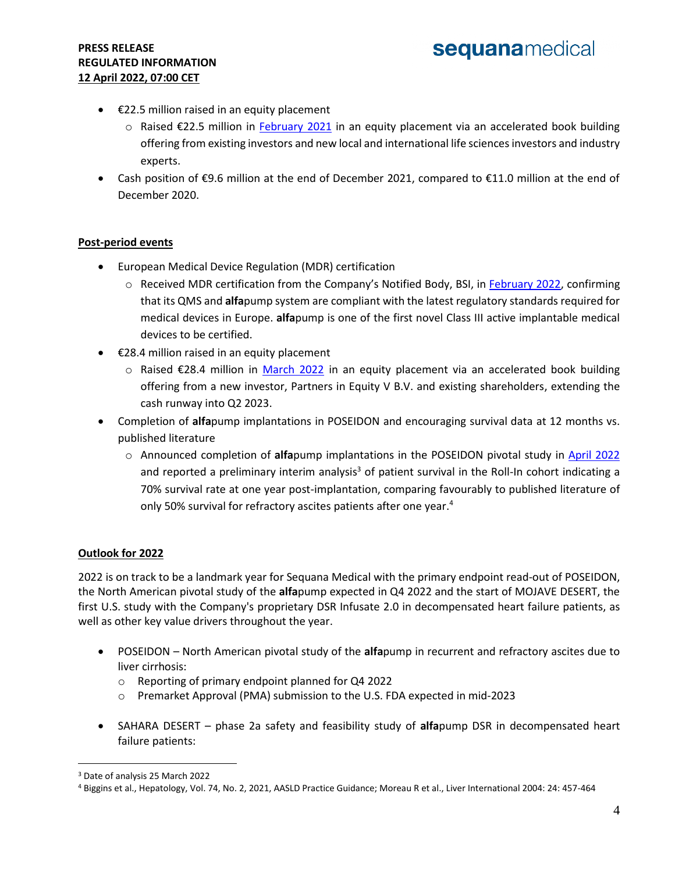- $\bullet$   $\epsilon$ 22.5 million raised in an equity placement
	- o Raised €22.5 million in [February 2021](https://www.sequanamedical.com/press-releases/sequana-medical-successfully-raises-eur-22-5-million-in-an-equity-placement/) in an equity placement via an accelerated book building offering from existing investors and new local and international life sciences investors and industry experts.
- Cash position of €9.6 million at the end of December 2021, compared to €11.0 million at the end of December 2020.

#### **Post-period events**

- European Medical Device Regulation (MDR) certification
	- o Received MDR certification from the Company's Notified Body, BSI, i[n February 2022,](https://www.sequanamedical.com/press-releases/sequana-medical-receives-certification-under-mdr-the-new-european-medical-device-regulation/) confirming that its QMS and **alfa**pump system are compliant with the latest regulatory standards required for medical devices in Europe. **alfa**pump is one of the first novel Class III active implantable medical devices to be certified.
- $\bullet$   $\epsilon$ 28.4 million raised in an equity placement
	- o Raised €28.4 million in [March 2022](https://www.sequanamedical.com/equity-placement-mar-2022/) in an equity placement via an accelerated book building offering from a new investor, Partners in Equity V B.V. and existing shareholders, extending the cash runway into Q2 2023.
- Completion of **alfa**pump implantations in POSEIDON and encouraging survival data at 12 months vs. published literature
	- o Announced completion of **alfa**pump implantations in the POSEIDON pivotal study in [April 2022](https://www.sequanamedical.com/press-releases/sequana-medical-announces-the-completion-of-alfapump-implantations-in-poseidon-the-north-american-pivotal-alfapump-study/) and reported a preliminary interim analysis<sup>3</sup> of patient survival in the Roll-In cohort indicating a 70% survival rate at one year post-implantation, comparing favourably to published literature of only 50% survival for refractory ascites patients after one year.<sup>4</sup>

#### **Outlook for 2022**

2022 is on track to be a landmark year for Sequana Medical with the primary endpoint read-out of POSEIDON, the North American pivotal study of the **alfa**pump expected in Q4 2022 and the start of MOJAVE DESERT, the first U.S. study with the Company's proprietary DSR Infusate 2.0 in decompensated heart failure patients, as well as other key value drivers throughout the year.

- POSEIDON North American pivotal study of the **alfa**pump in recurrent and refractory ascites due to liver cirrhosis:
	- o Reporting of primary endpoint planned for Q4 2022
	- o Premarket Approval (PMA) submission to the U.S. FDA expected in mid-2023
- SAHARA DESERT phase 2a safety and feasibility study of **alfa**pump DSR in decompensated heart failure patients:

 $\overline{a}$ 

<sup>3</sup> Date of analysis 25 March 2022

<sup>4</sup> Biggins et al., Hepatology, Vol. 74, No. 2, 2021, AASLD Practice Guidance; Moreau R et al., Liver International 2004: 24: 457-464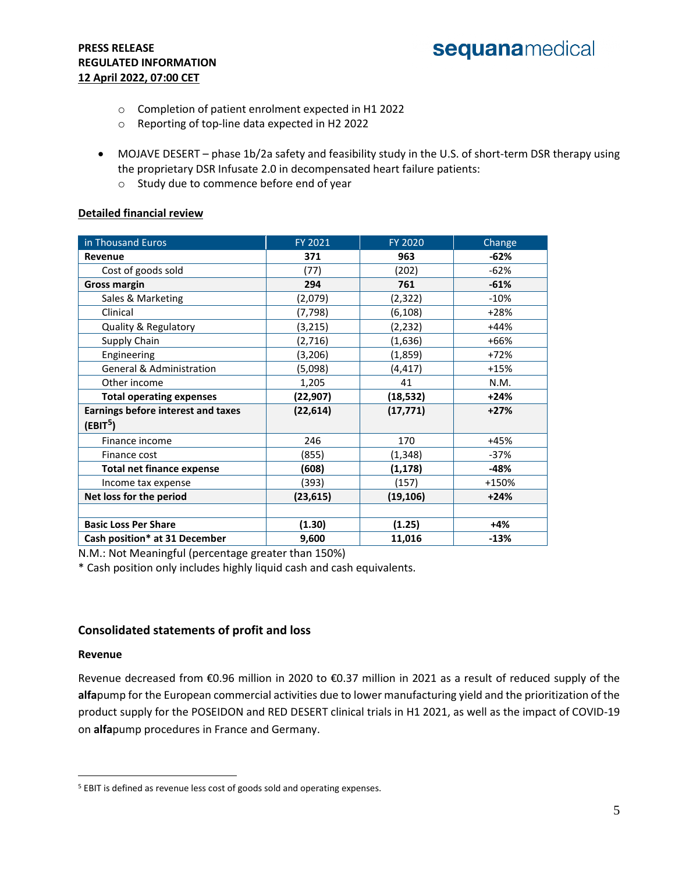- o Completion of patient enrolment expected in H1 2022
- o Reporting of top-line data expected in H2 2022
- MOJAVE DESERT phase 1b/2a safety and feasibility study in the U.S. of short-term DSR therapy using the proprietary DSR Infusate 2.0 in decompensated heart failure patients:
	- o Study due to commence before end of year

#### **Detailed financial review**

| in Thousand Euros                         | FY 2021               | <b>FY 2020</b> | Change |  |
|-------------------------------------------|-----------------------|----------------|--------|--|
| Revenue                                   | 371                   | 963            | -62%   |  |
| Cost of goods sold                        | (77)                  | (202)          | $-62%$ |  |
| <b>Gross margin</b>                       | 294                   | 761            | $-61%$ |  |
| Sales & Marketing                         | (2,079)               | (2, 322)       | $-10%$ |  |
| Clinical                                  | (7, 798)              | (6, 108)       | +28%   |  |
| Quality & Regulatory                      | (3, 215)              | (2, 232)       | $+44%$ |  |
| Supply Chain                              | (2,716)               | (1,636)        | +66%   |  |
| Engineering                               | (3,206)               | (1,859)        | $+72%$ |  |
| <b>General &amp; Administration</b>       | (5,098)<br>(4, 417)   |                | $+15%$ |  |
| Other income                              | 1,205                 | 41             | N.M.   |  |
| <b>Total operating expenses</b>           | (22,907)<br>(18, 532) |                | $+24%$ |  |
| <b>Earnings before interest and taxes</b> | (22, 614)             | (17, 771)      | $+27%$ |  |
| (EBIT <sup>5</sup> )                      |                       |                |        |  |
| Finance income                            | 246                   | 170            | +45%   |  |
| Finance cost                              | (855)                 | (1, 348)       | -37%   |  |
| <b>Total net finance expense</b>          | (1, 178)<br>(608)     |                | -48%   |  |
| Income tax expense                        | (393)                 | (157)          | +150%  |  |
| Net loss for the period                   | (23,615)              | (19, 106)      | $+24%$ |  |
|                                           |                       |                |        |  |
| <b>Basic Loss Per Share</b>               | (1.30)                | (1.25)         | $+4%$  |  |
| Cash position* at 31 December             | 9,600                 | 11,016         | $-13%$ |  |

N.M.: Not Meaningful (percentage greater than 150%)

\* Cash position only includes highly liquid cash and cash equivalents.

#### **Consolidated statements of profit and loss**

#### **Revenue**

 $\overline{a}$ 

Revenue decreased from €0.96 million in 2020 to €0.37 million in 2021 as a result of reduced supply of the **alfa**pump for the European commercial activities due to lower manufacturing yield and the prioritization of the product supply for the POSEIDON and RED DESERT clinical trials in H1 2021, as well as the impact of COVID-19 on **alfa**pump procedures in France and Germany.

<sup>&</sup>lt;sup>5</sup> EBIT is defined as revenue less cost of goods sold and operating expenses.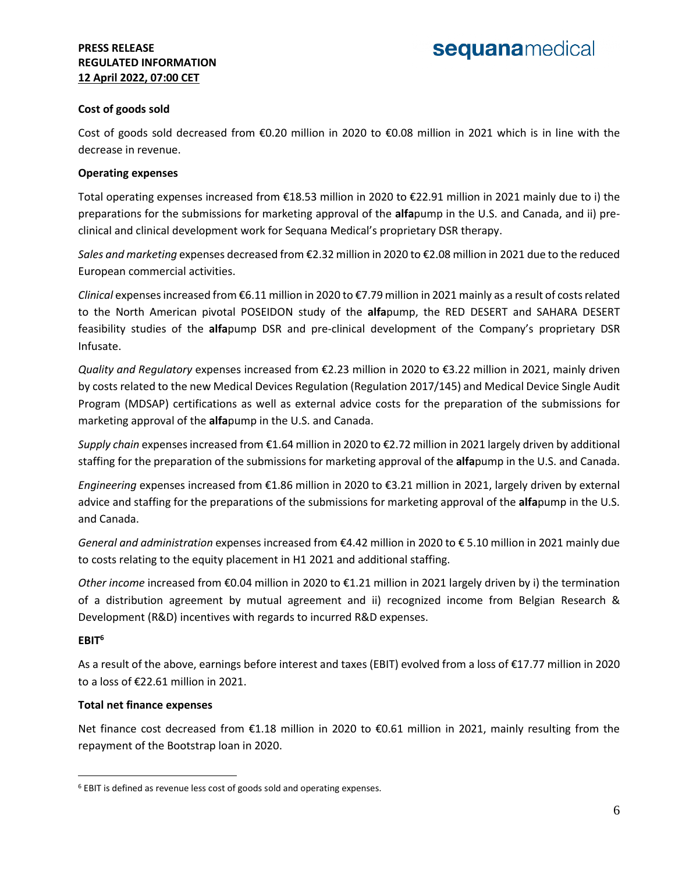#### **Cost of goods sold**

Cost of goods sold decreased from €0.20 million in 2020 to €0.08 million in 2021 which is in line with the decrease in revenue.

#### **Operating expenses**

Total operating expenses increased from €18.53 million in 2020 to €22.91 million in 2021 mainly due to i) the preparations for the submissions for marketing approval of the **alfa**pump in the U.S. and Canada, and ii) preclinical and clinical development work for Sequana Medical's proprietary DSR therapy.

*Sales and marketing* expenses decreased from €2.32 million in 2020 to €2.08 million in 2021 due to the reduced European commercial activities.

*Clinical* expenses increased from €6.11 million in 2020 to €7.79 million in 2021 mainly as a result of costs related to the North American pivotal POSEIDON study of the **alfa**pump, the RED DESERT and SAHARA DESERT feasibility studies of the **alfa**pump DSR and pre-clinical development of the Company's proprietary DSR Infusate.

*Quality and Regulatory* expenses increased from €2.23 million in 2020 to €3.22 million in 2021, mainly driven by costs related to the new Medical Devices Regulation (Regulation 2017/145) and Medical Device Single Audit Program (MDSAP) certifications as well as external advice costs for the preparation of the submissions for marketing approval of the **alfa**pump in the U.S. and Canada.

*Supply chain* expenses increased from €1.64 million in 2020 to €2.72 million in 2021 largely driven by additional staffing for the preparation of the submissions for marketing approval of the **alfa**pump in the U.S. and Canada.

*Engineering* expenses increased from €1.86 million in 2020 to €3.21 million in 2021, largely driven by external advice and staffing for the preparations of the submissions for marketing approval of the **alfa**pump in the U.S. and Canada.

*General and administration* expenses increased from €4.42 million in 2020 to € 5.10 million in 2021 mainly due to costs relating to the equity placement in H1 2021 and additional staffing.

*Other income* increased from €0.04 million in 2020 to €1.21 million in 2021 largely driven by i) the termination of a distribution agreement by mutual agreement and ii) recognized income from Belgian Research & Development (R&D) incentives with regards to incurred R&D expenses.

#### **EBIT<sup>6</sup>**

 $\overline{a}$ 

As a result of the above, earnings before interest and taxes (EBIT) evolved from a loss of €17.77 million in 2020 to a loss of €22.61 million in 2021.

#### **Total net finance expenses**

Net finance cost decreased from €1.18 million in 2020 to €0.61 million in 2021, mainly resulting from the repayment of the Bootstrap loan in 2020.

<sup>6</sup> EBIT is defined as revenue less cost of goods sold and operating expenses.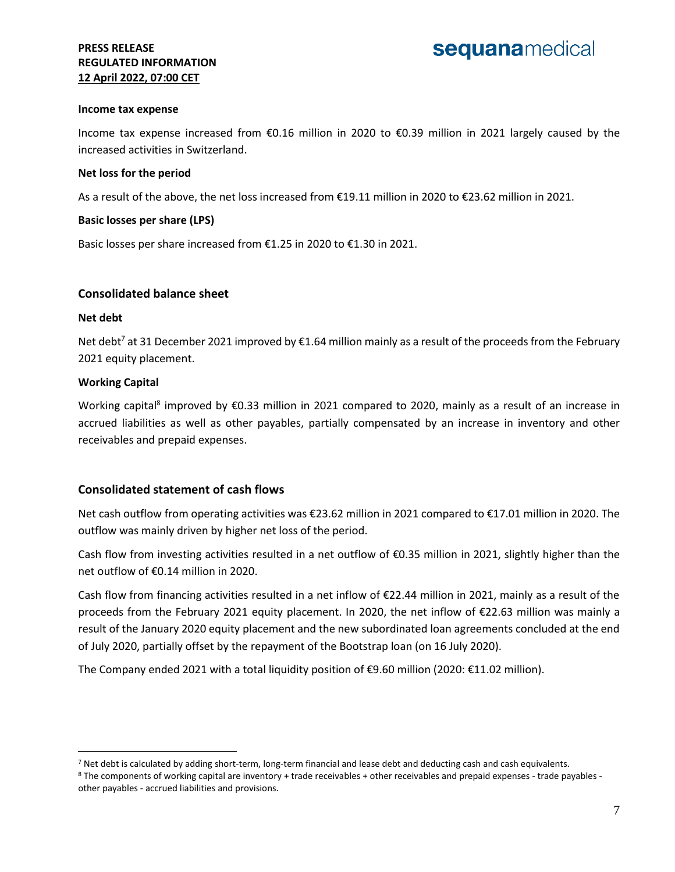#### **Income tax expense**

Income tax expense increased from €0.16 million in 2020 to €0.39 million in 2021 largely caused by the increased activities in Switzerland.

#### **Net loss for the period**

As a result of the above, the net loss increased from €19.11 million in 2020 to €23.62 million in 2021.

#### **Basic losses per share (LPS)**

Basic losses per share increased from €1.25 in 2020 to €1.30 in 2021.

#### **Consolidated balance sheet**

#### **Net debt**

 $\overline{a}$ 

Net debt<sup>7</sup> at 31 December 2021 improved by  $\epsilon$ 1.64 million mainly as a result of the proceeds from the February 2021 equity placement.

#### **Working Capital**

Working capital<sup>8</sup> improved by €0.33 million in 2021 compared to 2020, mainly as a result of an increase in accrued liabilities as well as other payables, partially compensated by an increase in inventory and other receivables and prepaid expenses.

#### **Consolidated statement of cash flows**

Net cash outflow from operating activities was €23.62 million in 2021 compared to €17.01 million in 2020. The outflow was mainly driven by higher net loss of the period.

Cash flow from investing activities resulted in a net outflow of €0.35 million in 2021, slightly higher than the net outflow of €0.14 million in 2020.

Cash flow from financing activities resulted in a net inflow of €22.44 million in 2021, mainly as a result of the proceeds from the February 2021 equity placement. In 2020, the net inflow of €22.63 million was mainly a result of the January 2020 equity placement and the new subordinated loan agreements concluded at the end of July 2020, partially offset by the repayment of the Bootstrap loan (on 16 July 2020).

The Company ended 2021 with a total liquidity position of €9.60 million (2020: €11.02 million).

<sup>&</sup>lt;sup>7</sup> Net debt is calculated by adding short-term, long-term financial and lease debt and deducting cash and cash equivalents.

<sup>8</sup> The components of working capital are inventory + trade receivables + other receivables and prepaid expenses - trade payables other payables - accrued liabilities and provisions.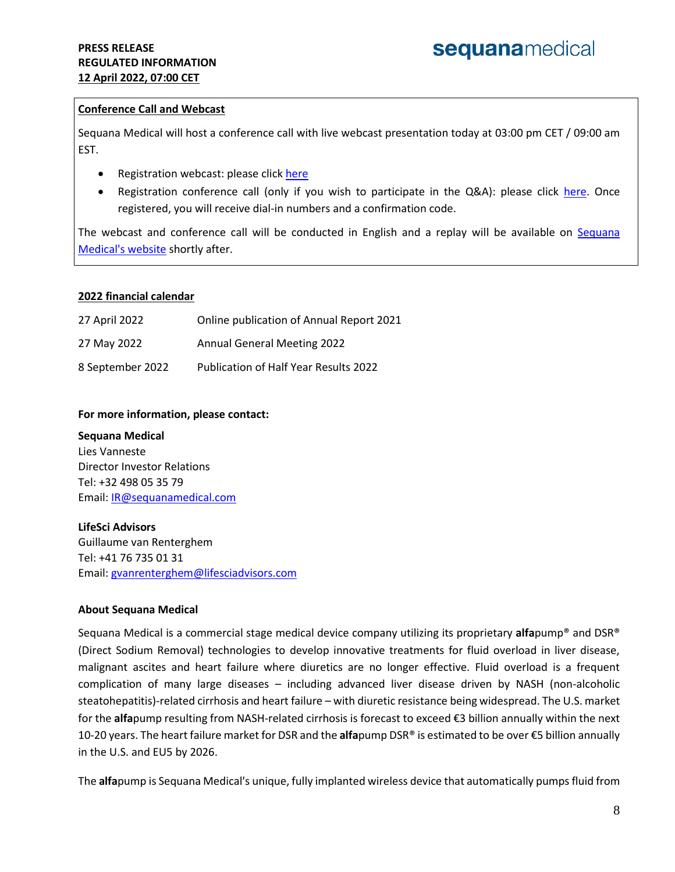#### **Conference Call and Webcast**

Sequana Medical will host a conference call with live webcast presentation today at 03:00 pm CET / 09:00 am EST.

- Registration webcast: please click [here](https://channel.royalcast.com/sequanamedical/#!/sequanamedical/20220412_1)
- Registration conference call (only if you wish to participate in the Q&A): please click [here.](https://event.loopup.com/SelfRegistration/registration.aspx?booking=tRffKSjRpT86hipqFM7GOipkpCLldyrTryFgNQMoTPY=&b=528f7d33-d6cf-439e-b143-56d7da6b8e57) Once registered, you will receive dial-in numbers and a confirmation code.

The webcast and conference call will be conducted in English and a replay will be available on [Sequana](https://www.sequanamedical.com/investors/events-presentations/)  [Medical's website](https://www.sequanamedical.com/investors/events-presentations/) shortly after.

#### **2022 financial calendar**

| 27 April 2022    | Online publication of Annual Report 2021 |
|------------------|------------------------------------------|
| 27 May 2022      | <b>Annual General Meeting 2022</b>       |
| 8 September 2022 | Publication of Half Year Results 2022    |

#### **For more information, please contact:**

#### **Sequana Medical**

Lies Vanneste Director Investor Relations Tel: +32 498 05 35 79 Email: [IR@sequanamedical.com](mailto:IR@sequanamedical.com)

#### **LifeSci Advisors**

Guillaume van Renterghem Tel: +41 76 735 01 31 Email: [gvanrenterghem@lifesciadvisors.com](mailto:chris@lifesciadvisors.com) 

#### **About Sequana Medical**

Sequana Medical is a commercial stage medical device company utilizing its proprietary **alfa**pump® and DSR® (Direct Sodium Removal) technologies to develop innovative treatments for fluid overload in liver disease, malignant ascites and heart failure where diuretics are no longer effective. Fluid overload is a frequent complication of many large diseases – including advanced liver disease driven by NASH (non-alcoholic steatohepatitis)-related cirrhosis and heart failure – with diuretic resistance being widespread. The U.S. market for the **alfa**pump resulting from NASH-related cirrhosis is forecast to exceed €3 billion annually within the next 10-20 years. The heart failure market for DSR and the **alfa**pump DSR® is estimated to be over €5 billion annually in the U.S. and EU5 by 2026.

The **alfa**pump is Sequana Medical's unique, fully implanted wireless device that automatically pumps fluid from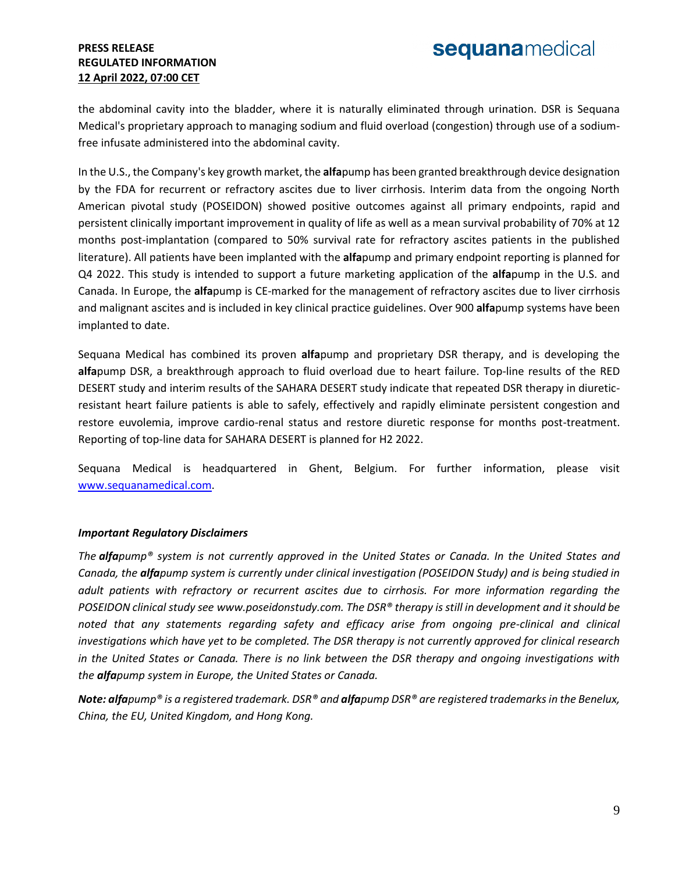the abdominal cavity into the bladder, where it is naturally eliminated through urination. DSR is Sequana Medical's proprietary approach to managing sodium and fluid overload (congestion) through use of a sodiumfree infusate administered into the abdominal cavity.

In the U.S., the Company's key growth market, the **alfa**pump has been granted breakthrough device designation by the FDA for recurrent or refractory ascites due to liver cirrhosis. Interim data from the ongoing North American pivotal study (POSEIDON) showed positive outcomes against all primary endpoints, rapid and persistent clinically important improvement in quality of life as well as a mean survival probability of 70% at 12 months post-implantation (compared to 50% survival rate for refractory ascites patients in the published literature). All patients have been implanted with the **alfa**pump and primary endpoint reporting is planned for Q4 2022. This study is intended to support a future marketing application of the **alfa**pump in the U.S. and Canada. In Europe, the **alfa**pump is CE-marked for the management of refractory ascites due to liver cirrhosis and malignant ascites and is included in key clinical practice guidelines. Over 900 **alfa**pump systems have been implanted to date.

Sequana Medical has combined its proven **alfa**pump and proprietary DSR therapy, and is developing the **alfa**pump DSR, a breakthrough approach to fluid overload due to heart failure. Top-line results of the RED DESERT study and interim results of the SAHARA DESERT study indicate that repeated DSR therapy in diureticresistant heart failure patients is able to safely, effectively and rapidly eliminate persistent congestion and restore euvolemia, improve cardio-renal status and restore diuretic response for months post-treatment. Reporting of top-line data for SAHARA DESERT is planned for H2 2022.

Sequana Medical is headquartered in Ghent, Belgium. For further information, please visit [www.sequanamedical.com.](http://www.sequanamedical.com/)

#### *Important Regulatory Disclaimers*

*The alfapump® system is not currently approved in the United States or Canada. In the United States and Canada, the alfapump system is currently under clinical investigation (POSEIDON Study) and is being studied in adult patients with refractory or recurrent ascites due to cirrhosis. For more information regarding the POSEIDON clinical study see [www.poseidonstudy.com.](https://www.poseidonstudy.com/) The DSR® therapy is still in development and it should be noted that any statements regarding safety and efficacy arise from ongoing pre-clinical and clinical investigations which have yet to be completed. The DSR therapy is not currently approved for clinical research in the United States or Canada. There is no link between the DSR therapy and ongoing investigations with the alfapump system in Europe, the United States or Canada.* 

*Note: alfapump® is a registered trademark. DSR® and alfapump DSR® are registered trademarks in the Benelux, China, the EU, United Kingdom, and Hong Kong.*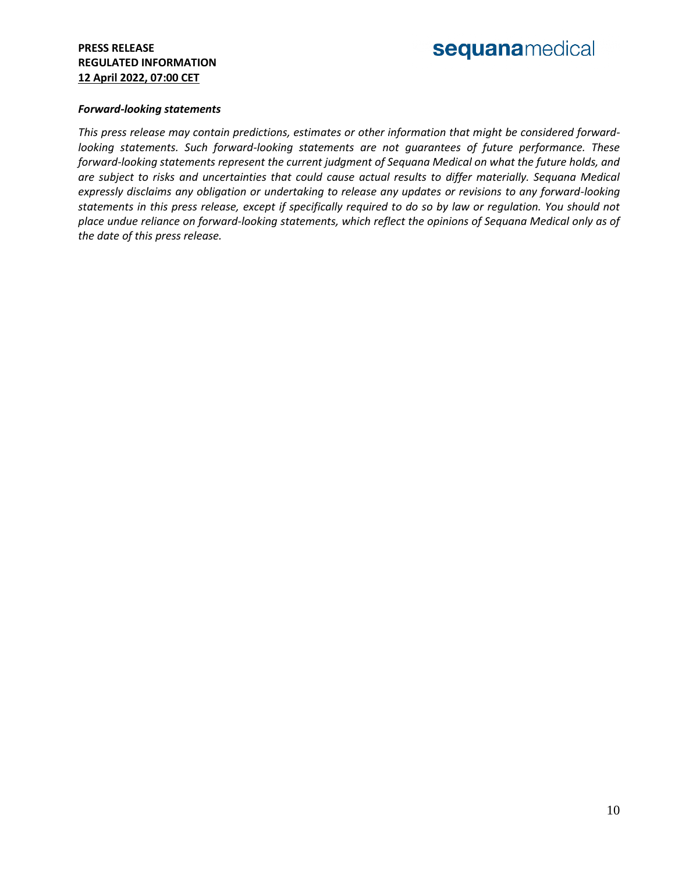## sequanamedical

#### *Forward-looking statements*

*This press release may contain predictions, estimates or other information that might be considered forwardlooking statements. Such forward-looking statements are not guarantees of future performance. These forward-looking statements represent the current judgment of Sequana Medical on what the future holds, and are subject to risks and uncertainties that could cause actual results to differ materially. Sequana Medical expressly disclaims any obligation or undertaking to release any updates or revisions to any forward-looking statements in this press release, except if specifically required to do so by law or regulation. You should not place undue reliance on forward-looking statements, which reflect the opinions of Sequana Medical only as of the date of this press release.*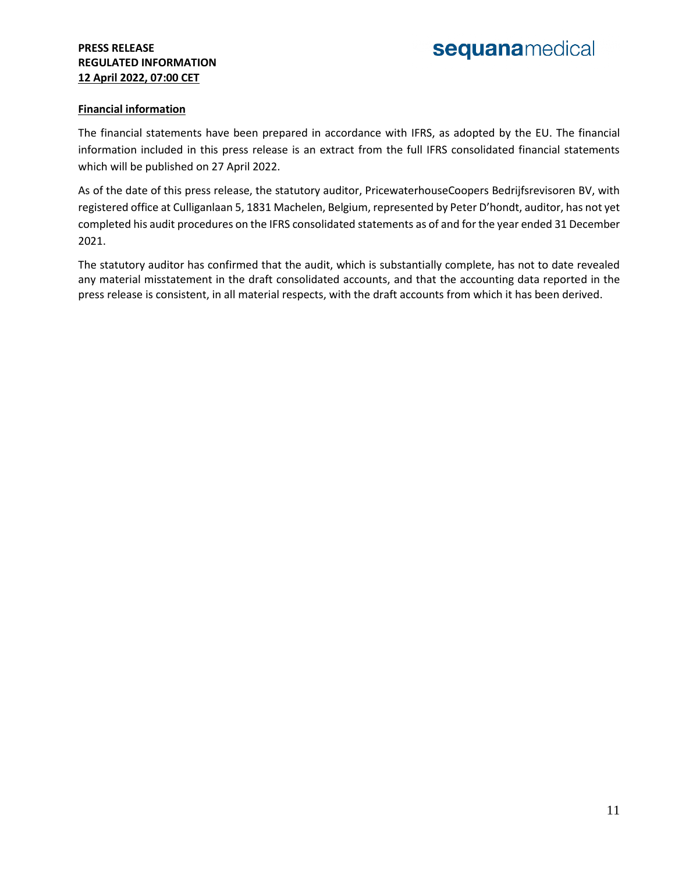# sequanamedical

#### **Financial information**

The financial statements have been prepared in accordance with IFRS, as adopted by the EU. The financial information included in this press release is an extract from the full IFRS consolidated financial statements which will be published on 27 April 2022.

As of the date of this press release, the statutory auditor, PricewaterhouseCoopers Bedrijfsrevisoren BV, with registered office at Culliganlaan 5, 1831 Machelen, Belgium, represented by Peter D'hondt, auditor, has not yet completed his audit procedures on the IFRS consolidated statements as of and for the year ended 31 December 2021.

The statutory auditor has confirmed that the audit, which is substantially complete, has not to date revealed any material misstatement in the draft consolidated accounts, and that the accounting data reported in the press release is consistent, in all material respects, with the draft accounts from which it has been derived.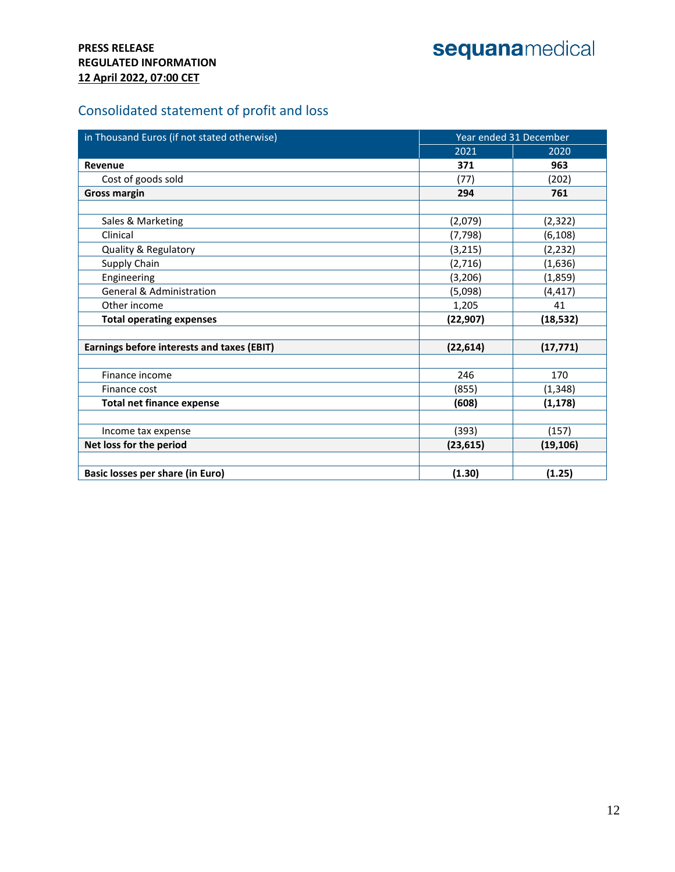# sequanamedical

## Consolidated statement of profit and loss

| in Thousand Euros (if not stated otherwise) | Year ended 31 December |           |  |
|---------------------------------------------|------------------------|-----------|--|
|                                             | 2021                   | 2020      |  |
| Revenue                                     | 371                    | 963       |  |
| Cost of goods sold                          | (77)                   | (202)     |  |
| <b>Gross margin</b>                         | 294                    | 761       |  |
|                                             |                        |           |  |
| Sales & Marketing                           | (2,079)                | (2, 322)  |  |
| Clinical                                    | (7, 798)               | (6, 108)  |  |
| Quality & Regulatory                        | (3, 215)               | (2, 232)  |  |
| Supply Chain                                | (2,716)                | (1,636)   |  |
| Engineering                                 | (3, 206)               | (1,859)   |  |
| General & Administration                    | (5,098)                | (4, 417)  |  |
| Other income                                | 1,205                  | 41        |  |
| <b>Total operating expenses</b>             | (22, 907)              | (18, 532) |  |
|                                             |                        |           |  |
| Earnings before interests and taxes (EBIT)  | (22, 614)              | (17, 771) |  |
|                                             |                        |           |  |
| Finance income                              | 246                    | 170       |  |
| Finance cost                                | (855)                  | (1, 348)  |  |
| <b>Total net finance expense</b>            | (608)                  | (1, 178)  |  |
|                                             |                        |           |  |
| Income tax expense                          | (393)                  | (157)     |  |
| Net loss for the period                     | (23, 615)              | (19, 106) |  |
|                                             |                        |           |  |
| Basic losses per share (in Euro)            | (1.30)                 | (1.25)    |  |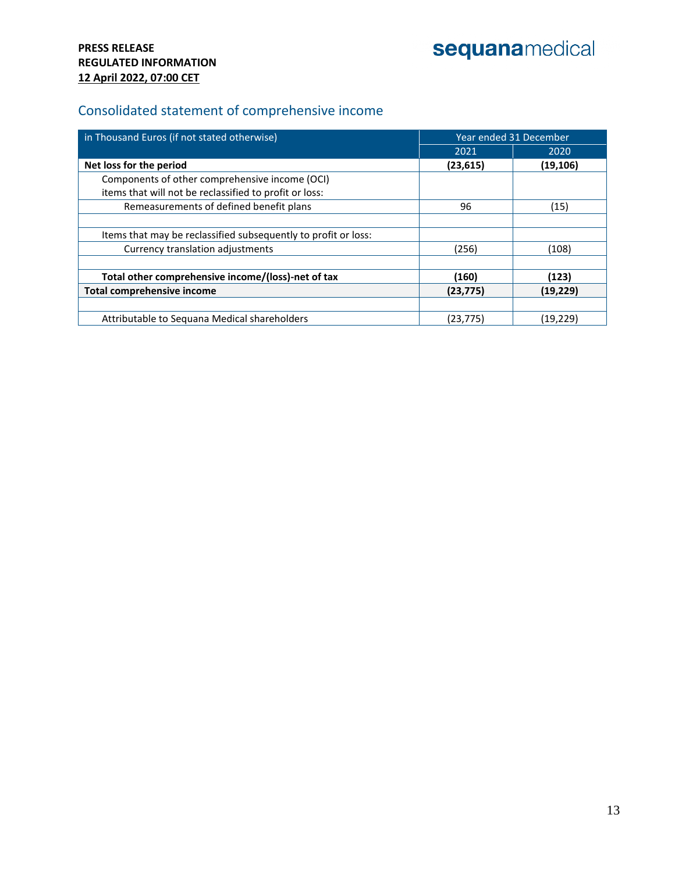## Consolidated statement of comprehensive income

| in Thousand Euros (if not stated otherwise)                    | Year ended 31 December |           |  |
|----------------------------------------------------------------|------------------------|-----------|--|
|                                                                | 2021                   | 2020      |  |
| Net loss for the period                                        | (23, 615)              | (19, 106) |  |
| Components of other comprehensive income (OCI)                 |                        |           |  |
| items that will not be reclassified to profit or loss:         |                        |           |  |
| Remeasurements of defined benefit plans                        | 96                     | (15)      |  |
|                                                                |                        |           |  |
| Items that may be reclassified subsequently to profit or loss: |                        |           |  |
| Currency translation adjustments                               | (256)                  | (108)     |  |
|                                                                |                        |           |  |
| Total other comprehensive income/(loss)-net of tax             | (160)                  | (123)     |  |
| <b>Total comprehensive income</b>                              | (23, 775)              | (19, 229) |  |
|                                                                |                        |           |  |
| Attributable to Seguana Medical shareholders                   | (23, 775)              | (19,229)  |  |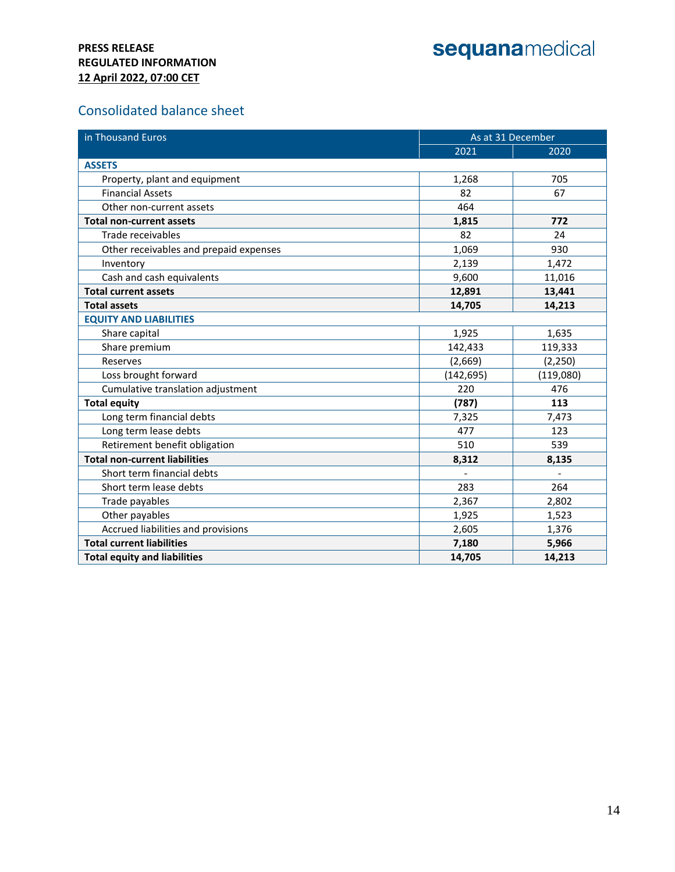### Consolidated balance sheet

| in Thousand Euros                      | As at 31 December |           |  |
|----------------------------------------|-------------------|-----------|--|
|                                        | 2021              | 2020      |  |
| <b>ASSETS</b>                          |                   |           |  |
| Property, plant and equipment          | 1,268             | 705       |  |
| <b>Financial Assets</b>                | 82                | 67        |  |
| Other non-current assets               | 464               |           |  |
| <b>Total non-current assets</b>        | 1,815             | 772       |  |
| Trade receivables                      | 82                | 24        |  |
| Other receivables and prepaid expenses | 1,069             | 930       |  |
| Inventory                              | 2,139             | 1,472     |  |
| Cash and cash equivalents              | 9,600             | 11,016    |  |
| <b>Total current assets</b>            | 12,891            | 13,441    |  |
| <b>Total assets</b>                    | 14,705            | 14,213    |  |
| <b>EQUITY AND LIABILITIES</b>          |                   |           |  |
| Share capital                          | 1,925             | 1,635     |  |
| Share premium                          | 142,433           | 119,333   |  |
| Reserves                               | (2,669)           | (2,250)   |  |
| Loss brought forward                   | (142, 695)        | (119,080) |  |
| Cumulative translation adjustment      | 220               | 476       |  |
| <b>Total equity</b>                    | (787)             | 113       |  |
| Long term financial debts              | 7,325             | 7,473     |  |
| Long term lease debts                  | 477               | 123       |  |
| Retirement benefit obligation          | 510               | 539       |  |
| <b>Total non-current liabilities</b>   | 8,312             | 8,135     |  |
| Short term financial debts             |                   |           |  |
| Short term lease debts                 | 283               | 264       |  |
| Trade payables                         | 2,367             | 2,802     |  |
| Other payables                         | 1,925             | 1,523     |  |
| Accrued liabilities and provisions     | 2,605             | 1,376     |  |
| <b>Total current liabilities</b>       | 7,180             | 5,966     |  |
| <b>Total equity and liabilities</b>    | 14,705            | 14,213    |  |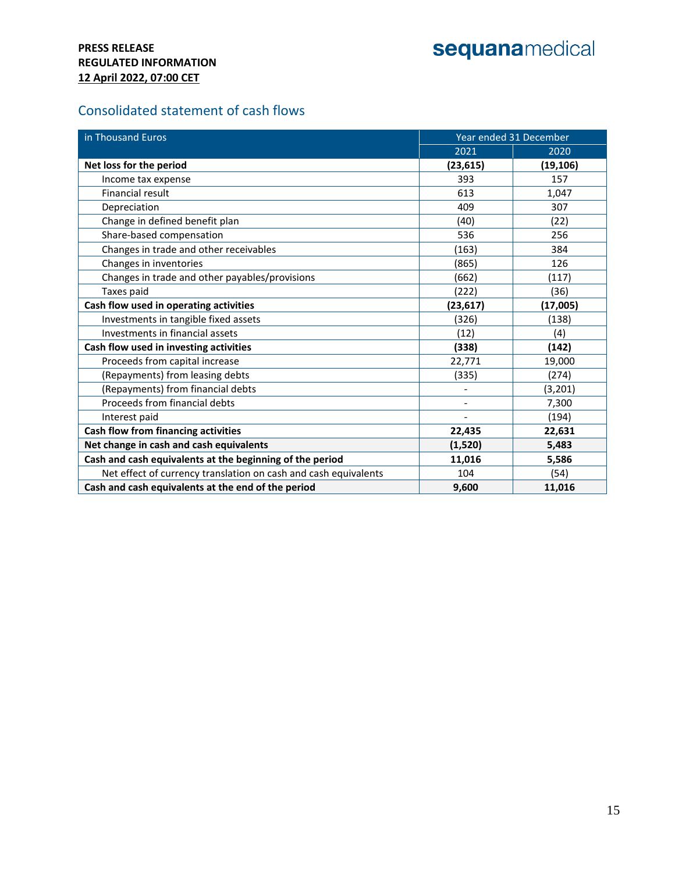# sequanamedical

## Consolidated statement of cash flows

| in Thousand Euros                                               | Year ended 31 December   |           |  |
|-----------------------------------------------------------------|--------------------------|-----------|--|
|                                                                 | 2021                     | 2020      |  |
| Net loss for the period                                         | (23, 615)                | (19, 106) |  |
| Income tax expense                                              | 393                      | 157       |  |
| <b>Financial result</b>                                         | 613                      | 1,047     |  |
| Depreciation                                                    | 409                      | 307       |  |
| Change in defined benefit plan                                  | (40)                     | (22)      |  |
| Share-based compensation                                        | 536                      | 256       |  |
| Changes in trade and other receivables                          | (163)                    | 384       |  |
| Changes in inventories                                          | (865)                    | 126       |  |
| Changes in trade and other payables/provisions                  | (662)                    | (117)     |  |
| Taxes paid                                                      | (222)                    | (36)      |  |
| Cash flow used in operating activities                          | (23, 617)                | (17,005)  |  |
| Investments in tangible fixed assets                            | (326)                    | (138)     |  |
| <b>Investments in financial assets</b>                          | (12)                     | (4)       |  |
| Cash flow used in investing activities                          | (338)                    | (142)     |  |
| Proceeds from capital increase                                  | 22,771                   | 19,000    |  |
| (Repayments) from leasing debts                                 | (335)                    | (274)     |  |
| (Repayments) from financial debts                               |                          | (3, 201)  |  |
| Proceeds from financial debts                                   | $\overline{\phantom{a}}$ | 7,300     |  |
| Interest paid                                                   |                          | (194)     |  |
| Cash flow from financing activities                             | 22,435                   | 22,631    |  |
| Net change in cash and cash equivalents                         | (1,520)                  | 5,483     |  |
| Cash and cash equivalents at the beginning of the period        | 11,016                   | 5,586     |  |
| Net effect of currency translation on cash and cash equivalents | 104                      | (54)      |  |
| Cash and cash equivalents at the end of the period              | 9,600                    | 11,016    |  |